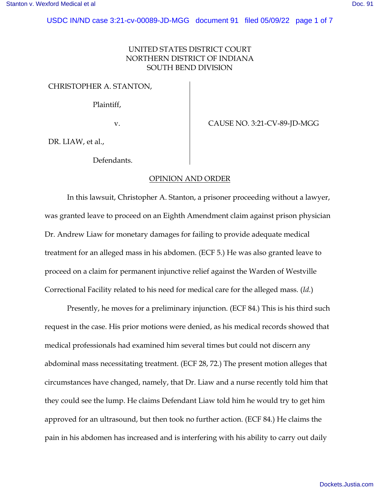## UNITED STATES DISTRICT COURT NORTHERN DISTRICT OF INDIANA SOUTH BEND DIVISION

## CHRISTOPHER A. STANTON,

Plaintiff,

v. CAUSE NO. 3:21-CV-89-JD-MGG

DR. LIAW, et al.,

Defendants.

## OPINION AND ORDER

In this lawsuit, Christopher A. Stanton, a prisoner proceeding without a lawyer, was granted leave to proceed on an Eighth Amendment claim against prison physician Dr. Andrew Liaw for monetary damages for failing to provide adequate medical treatment for an alleged mass in his abdomen. (ECF 5.) He was also granted leave to proceed on a claim for permanent injunctive relief against the Warden of Westville Correctional Facility related to his need for medical care for the alleged mass. (*Id.*)

Presently, he moves for a preliminary injunction. (ECF 84.) This is his third such request in the case. His prior motions were denied, as his medical records showed that medical professionals had examined him several times but could not discern any abdominal mass necessitating treatment. (ECF 28, 72.) The present motion alleges that circumstances have changed, namely, that Dr. Liaw and a nurse recently told him that they could see the lump. He claims Defendant Liaw told him he would try to get him approved for an ultrasound, but then took no further action. (ECF 84.) He claims the pain in his abdomen has increased and is interfering with his ability to carry out daily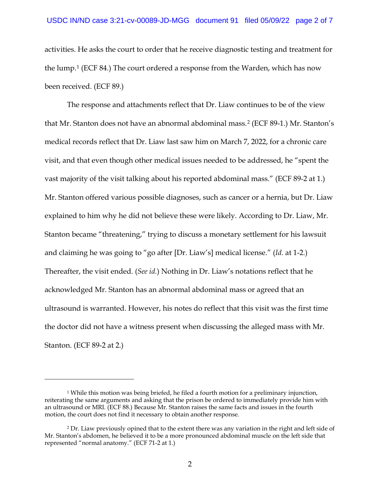activities. He asks the court to order that he receive diagnostic testing and treatment for the lump.[1](#page-1-0) (ECF 84.) The court ordered a response from the Warden, which has now been received. (ECF 89.)

The response and attachments reflect that Dr. Liaw continues to be of the view that Mr. Stanton does not have an abnormal abdominal mass.[2](#page-1-1) (ECF 89-1.) Mr. Stanton's medical records reflect that Dr. Liaw last saw him on March 7, 2022, for a chronic care visit, and that even though other medical issues needed to be addressed, he "spent the vast majority of the visit talking about his reported abdominal mass." (ECF 89-2 at 1.) Mr. Stanton offered various possible diagnoses, such as cancer or a hernia, but Dr. Liaw explained to him why he did not believe these were likely. According to Dr. Liaw, Mr. Stanton became "threatening," trying to discuss a monetary settlement for his lawsuit and claiming he was going to "go after [Dr. Liaw's] medical license." (*Id.* at 1-2.) Thereafter, the visit ended. (*See id.*) Nothing in Dr. Liaw's notations reflect that he acknowledged Mr. Stanton has an abnormal abdominal mass or agreed that an ultrasound is warranted. However, his notes do reflect that this visit was the first time the doctor did not have a witness present when discussing the alleged mass with Mr. Stanton. (ECF 89-2 at 2.)

<span id="page-1-0"></span><sup>&</sup>lt;sup>1</sup> While this motion was being briefed, he filed a fourth motion for a preliminary injunction, reiterating the same arguments and asking that the prison be ordered to immediately provide him with an ultrasound or MRI. (ECF 88.) Because Mr. Stanton raises the same facts and issues in the fourth motion, the court does not find it necessary to obtain another response.

<span id="page-1-1"></span><sup>2</sup> Dr. Liaw previously opined that to the extent there was any variation in the right and left side of Mr. Stanton's abdomen, he believed it to be a more pronounced abdominal muscle on the left side that represented "normal anatomy." (ECF 71-2 at 1.)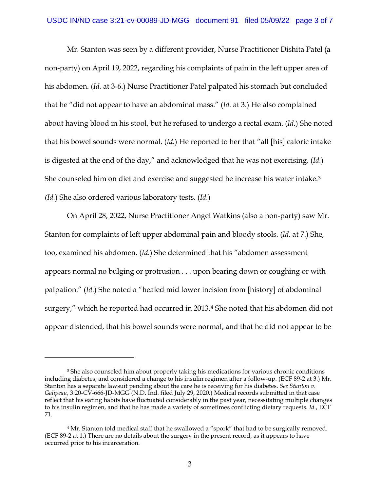Mr. Stanton was seen by a different provider, Nurse Practitioner Dishita Patel (a non-party) on April 19, 2022, regarding his complaints of pain in the left upper area of his abdomen. (*Id.* at 3-6.) Nurse Practitioner Patel palpated his stomach but concluded that he "did not appear to have an abdominal mass." (*Id.* at 3.) He also complained about having blood in his stool, but he refused to undergo a rectal exam. (*Id.*) She noted that his bowel sounds were normal. (*Id.*) He reported to her that "all [his] caloric intake is digested at the end of the day," and acknowledged that he was not exercising. (*Id.*) She counseled him on diet and exercise and suggested he increase his water intake.[3](#page-2-0) *(Id.*) She also ordered various laboratory tests. (*Id.*)

 On April 28, 2022, Nurse Practitioner Angel Watkins (also a non-party) saw Mr. Stanton for complaints of left upper abdominal pain and bloody stools. (*Id.* at 7.) She, too, examined his abdomen. (*Id.*) She determined that his "abdomen assessment appears normal no bulging or protrusion . . . upon bearing down or coughing or with palpation." (*Id.*) She noted a "healed mid lower incision from [history] of abdominal surgery," which he reported had occurred in 2013.<sup>[4](#page-2-1)</sup> She noted that his abdomen did not appear distended, that his bowel sounds were normal, and that he did not appear to be

<span id="page-2-0"></span><sup>&</sup>lt;sup>3</sup> She also counseled him about properly taking his medications for various chronic conditions including diabetes, and considered a change to his insulin regimen after a follow-up. (ECF 89-2 at 3.) Mr. Stanton has a separate lawsuit pending about the care he is receiving for his diabetes. *See Stanton v. Galipeau*, 3:20-CV-666-JD-MGG (N.D. Ind. filed July 29, 2020.) Medical records submitted in that case reflect that his eating habits have fluctuated considerably in the past year, necessitating multiple changes to his insulin regimen, and that he has made a variety of sometimes conflicting dietary requests. *Id.*, ECF 71.

<span id="page-2-1"></span><sup>4</sup> Mr. Stanton told medical staff that he swallowed a "spork" that had to be surgically removed. (ECF 89-2 at 1.) There are no details about the surgery in the present record, as it appears to have occurred prior to his incarceration.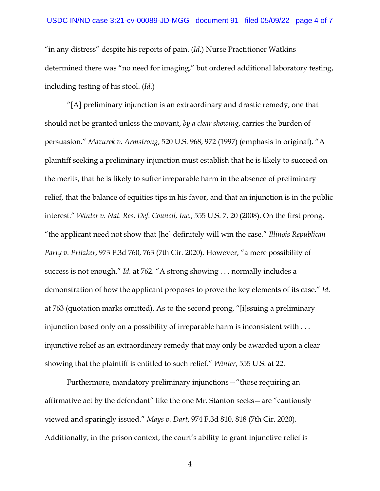"in any distress" despite his reports of pain. (*Id.*) Nurse Practitioner Watkins determined there was "no need for imaging," but ordered additional laboratory testing, including testing of his stool. (*Id.*)

"[A] preliminary injunction is an extraordinary and drastic remedy, one that should not be granted unless the movant, *by a clear showing*, carries the burden of persuasion." *Mazurek v. Armstrong*, 520 U.S. 968, 972 (1997) (emphasis in original). "A plaintiff seeking a preliminary injunction must establish that he is likely to succeed on the merits, that he is likely to suffer irreparable harm in the absence of preliminary relief, that the balance of equities tips in his favor, and that an injunction is in the public interest." *Winter v. Nat. Res. Def. Council, Inc.*, 555 U.S. 7, 20 (2008). On the first prong, "the applicant need not show that [he] definitely will win the case." *Illinois Republican Party v. Pritzker*, 973 F.3d 760, 763 (7th Cir. 2020). However, "a mere possibility of success is not enough." *Id.* at 762. "A strong showing . . . normally includes a demonstration of how the applicant proposes to prove the key elements of its case." *Id*. at 763 (quotation marks omitted). As to the second prong, "[i]ssuing a preliminary injunction based only on a possibility of irreparable harm is inconsistent with . . . injunctive relief as an extraordinary remedy that may only be awarded upon a clear showing that the plaintiff is entitled to such relief." *Winter*, 555 U.S. at 22.

Furthermore, mandatory preliminary injunctions—"those requiring an affirmative act by the defendant" like the one Mr. Stanton seeks—are "cautiously viewed and sparingly issued." *Mays v. Dart*, 974 F.3d 810, 818 (7th Cir. 2020). Additionally, in the prison context, the court's ability to grant injunctive relief is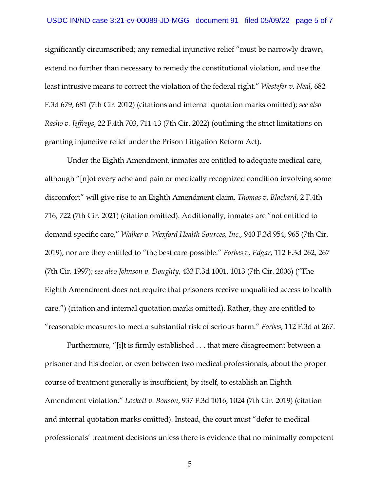significantly circumscribed; any remedial injunctive relief "must be narrowly drawn, extend no further than necessary to remedy the constitutional violation, and use the least intrusive means to correct the violation of the federal right." *Westefer v. Neal*, 682 F.3d 679, 681 (7th Cir. 2012) (citations and internal quotation marks omitted); *see also Rasho v. Jeffreys*, 22 F.4th 703, 711-13 (7th Cir. 2022) (outlining the strict limitations on granting injunctive relief under the Prison Litigation Reform Act).

Under the Eighth Amendment, inmates are entitled to adequate medical care, although "[n]ot every ache and pain or medically recognized condition involving some discomfort" will give rise to an Eighth Amendment claim. *Thomas v. Blackard*, 2 F.4th 716, 722 (7th Cir. 2021) (citation omitted). Additionally, inmates are "not entitled to demand specific care," *Walker v. Wexford Health Sources, Inc.*, 940 F.3d 954, 965 (7th Cir. 2019), nor are they entitled to "the best care possible." *Forbes v. Edgar*, 112 F.3d 262, 267 (7th Cir. 1997); *see also Johnson v. Doughty*, 433 F.3d 1001, 1013 (7th Cir. 2006) ("The Eighth Amendment does not require that prisoners receive unqualified access to health care.") (citation and internal quotation marks omitted). Rather, they are entitled to "reasonable measures to meet a substantial risk of serious harm." *Forbes*, 112 F.3d at 267.

Furthermore, "[i]t is firmly established . . . that mere disagreement between a prisoner and his doctor, or even between two medical professionals, about the proper course of treatment generally is insufficient, by itself, to establish an Eighth Amendment violation." *Lockett v. Bonson*, 937 F.3d 1016, 1024 (7th Cir. 2019) (citation and internal quotation marks omitted). Instead, the court must "defer to medical professionals' treatment decisions unless there is evidence that no minimally competent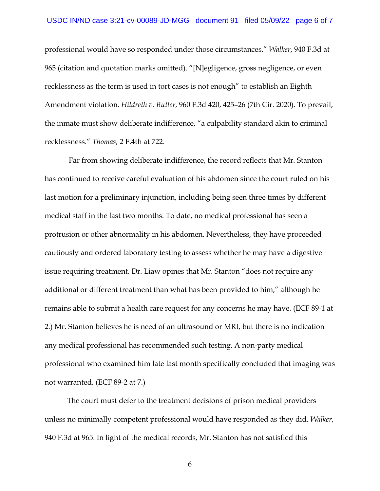professional would have so responded under those circumstances." *Walker*, 940 F.3d at 965 (citation and quotation marks omitted). "[N]egligence, gross negligence, or even recklessness as the term is used in tort cases is not enough" to establish an Eighth Amendment violation. *Hildreth v. Butler*, 960 F.3d 420, 425–26 (7th Cir. 2020). To prevail, the inmate must show deliberate indifference, "a culpability standard akin to criminal recklessness." *Thomas*, 2 F.4th at 722.

 Far from showing deliberate indifference, the record reflects that Mr. Stanton has continued to receive careful evaluation of his abdomen since the court ruled on his last motion for a preliminary injunction, including being seen three times by different medical staff in the last two months. To date, no medical professional has seen a protrusion or other abnormality in his abdomen. Nevertheless, they have proceeded cautiously and ordered laboratory testing to assess whether he may have a digestive issue requiring treatment. Dr. Liaw opines that Mr. Stanton "does not require any additional or different treatment than what has been provided to him," although he remains able to submit a health care request for any concerns he may have. (ECF 89-1 at 2.) Mr. Stanton believes he is need of an ultrasound or MRI, but there is no indication any medical professional has recommended such testing. A non-party medical professional who examined him late last month specifically concluded that imaging was not warranted. (ECF 89-2 at 7.)

The court must defer to the treatment decisions of prison medical providers unless no minimally competent professional would have responded as they did. *Walker*, 940 F.3d at 965. In light of the medical records, Mr. Stanton has not satisfied this